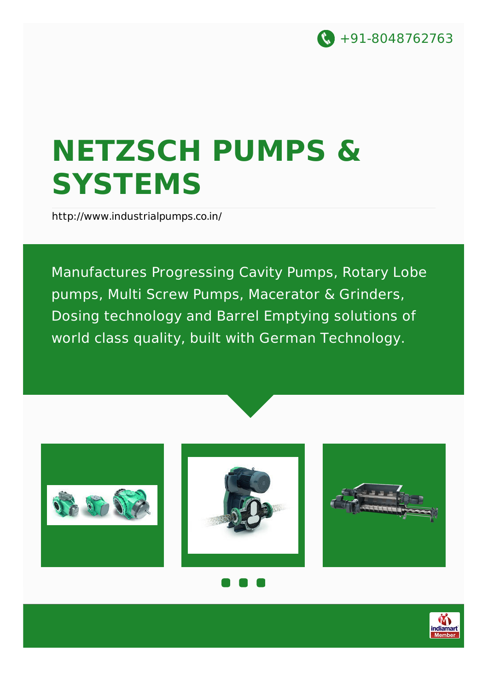

# **NETZSCH PUMPS & SYSTEMS**

<http://www.industrialpumps.co.in/>

Manufactures Progressing Cavity Pumps, Rotary Lobe pumps, Multi Screw Pumps, Macerator & Grinders, Dosing technology and Barrel Emptying solutions of world class quality, built with German Technology.







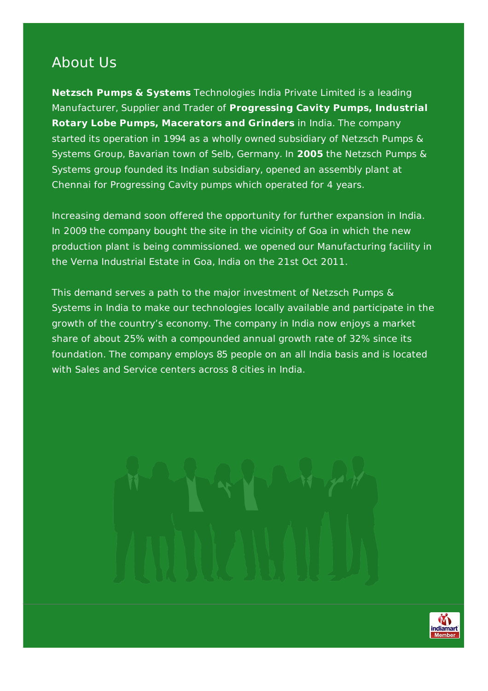#### About Us

**Netzsch Pumps & Systems** Technologies India Private Limited is a leading Manufacturer, Supplier and Trader of **Progressing Cavity Pumps, Industrial Rotary Lobe Pumps, Macerators and Grinders** in India. The company started its operation in 1994 as a wholly owned subsidiary of Netzsch Pumps & Systems Group, Bavarian town of Selb, Germany. In **2005** the Netzsch Pumps & Systems group founded its Indian subsidiary, opened an assembly plant at Chennai for Progressing Cavity pumps which operated for 4 years.

Increasing demand soon offered the opportunity for further expansion in India. In 2009 the company bought the site in the vicinity of Goa in which the new production plant is being commissioned. we opened our Manufacturing facility in the Verna Industrial Estate in Goa, India on the 21st Oct 2011.

This demand serves a path to the major investment of Netzsch Pumps & Systems in India to make our technologies locally available and participate in the growth of the country's economy. The company in India now enjoys a market share of about 25% with a compounded annual growth rate of 32% since its foundation. The company employs 85 people on an all India basis and is located with Sales and Service centers across 8 cities in India.

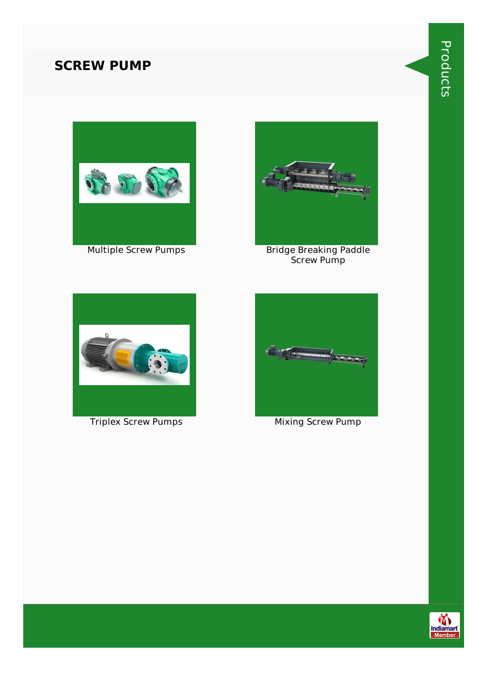#### **SCREW PUMP**







Multiple Screw Pumps Bridge Breaking Paddle Screw Pump



**Triplex Screw Pumps Mixing Screw Pump** 



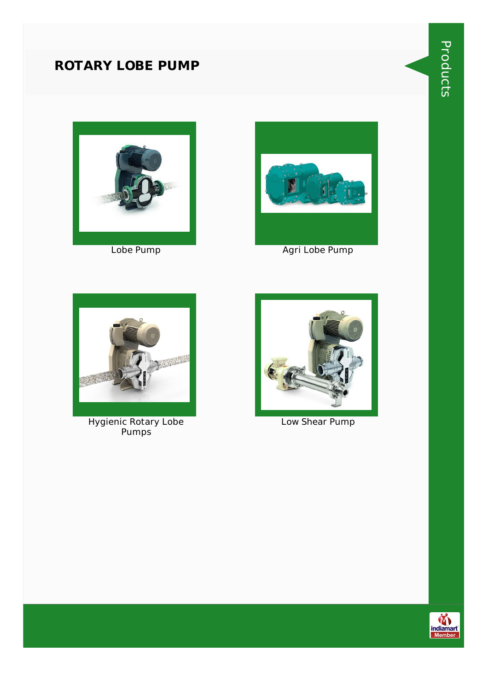### **ROTARY LOBE PUMP**





Lobe Pump **Agri Lobe Pump** Agri Lobe Pump



Hygienic Rotary Lobe Pumps



Low Shear Pump



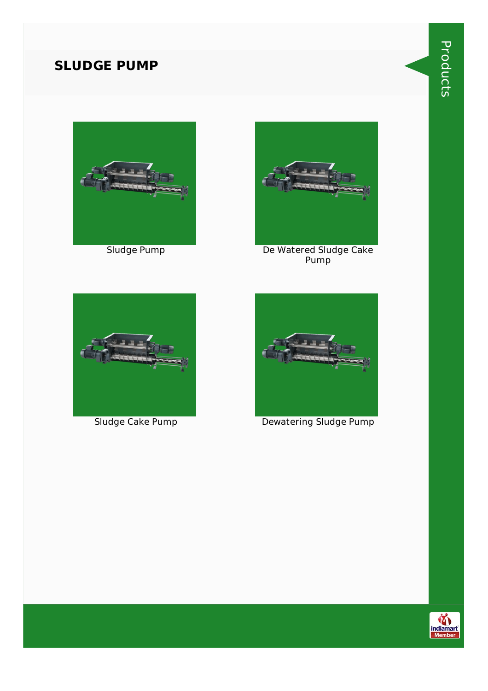#### **SLUDGE PUMP**





Sludge Pump De Watered Sludge Cake Pump





Sludge Cake Pump Dewatering Sludge Pump

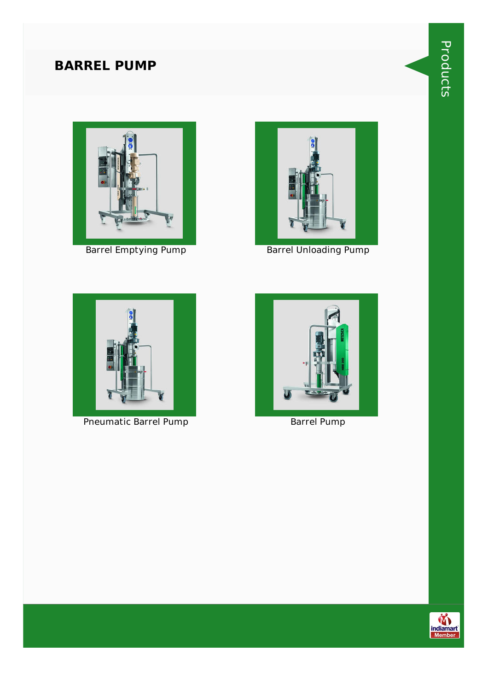### **BARREL PUMP**





Barrel Emptying Pump Barrel Unloading Pump



Pneumatic Barrel Pump Barrel Pump



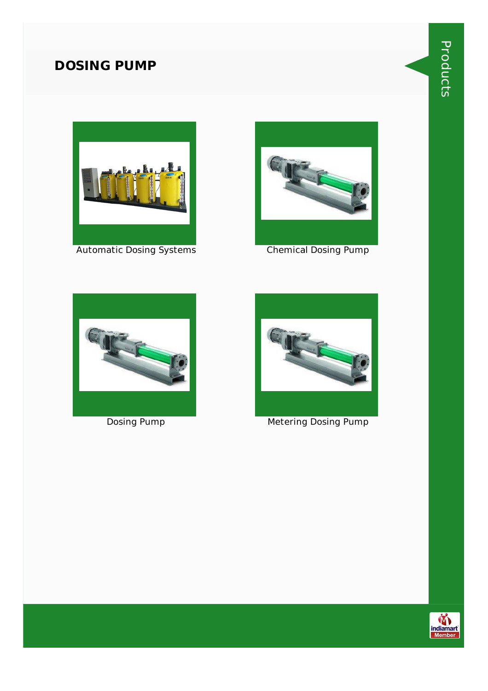#### **DOSING PUMP**





Automatic Dosing Systems **Chemical Dosing Pump** 







**Dosing Pump Metering Dosing Pump** 

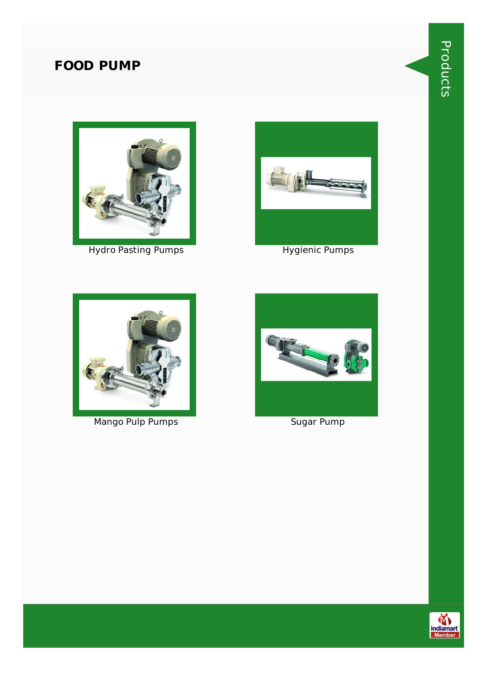#### **FOOD PUMP**



Hydro Pasting Pumps **Hygienic Pumps** Hygienic Pumps





Mango Pulp Pumps Sugar Pump



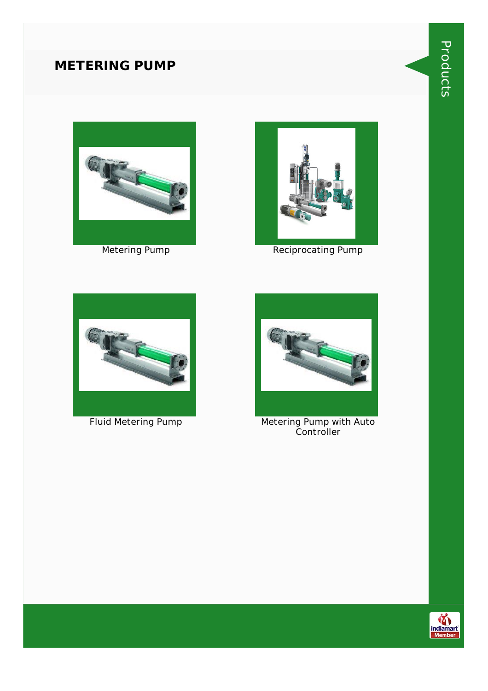#### **METERING PUMP**





Metering Pump **Reciprocating Pump** 





Fluid Metering Pump Metering Pump with Auto Controller

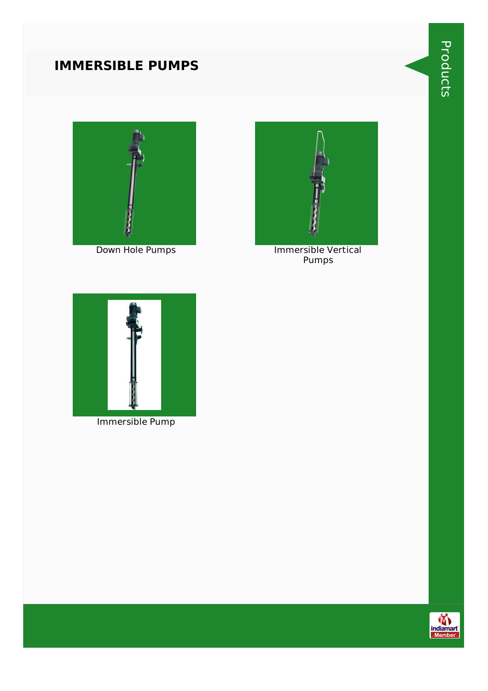# **IMMERSIBLE PUMPS**





Down Hole Pumps **Immersible Vertical** Pumps



Immersible Pump

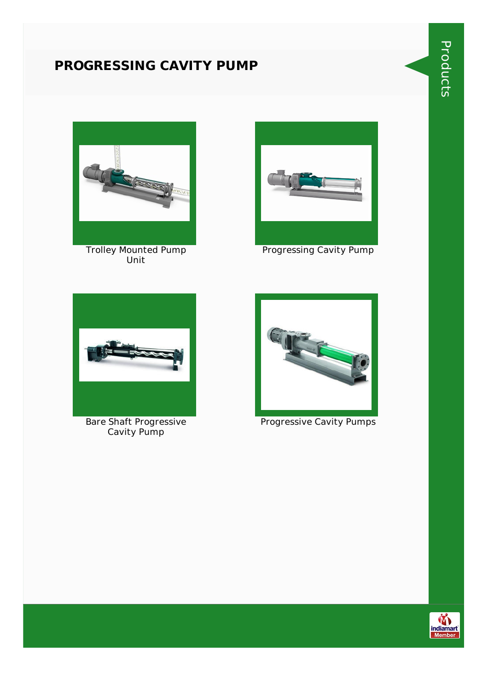#### **PROGRESSING CAVITY PUMP**





Trolley Mounted Pump Unit



Progressing Cavity Pump



Bare Shaft Progressive Cavity Pump



Progressive Cavity Pumps

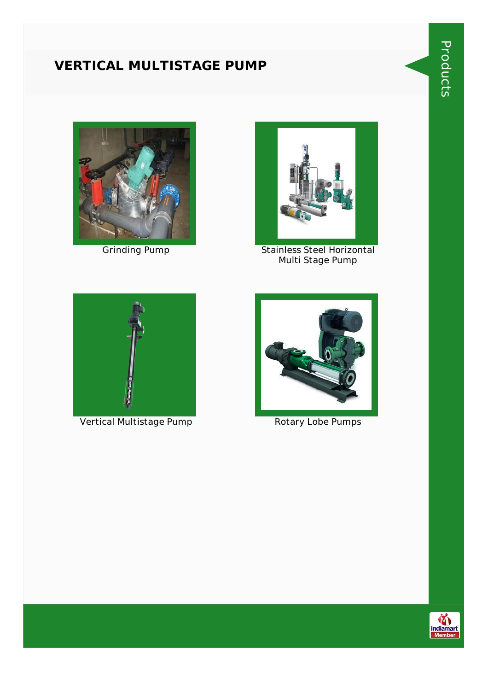#### **VERTICAL MULTISTAGE PUMP**





Grinding Pump Stainless Steel Horizontal Multi Stage Pump



Vertical Multistage Pump Rotary Lobe Pumps





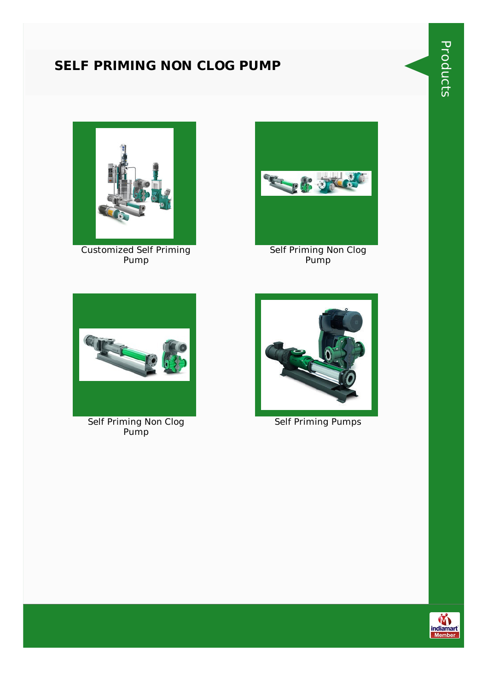#### **SELF PRIMING NON CLOG PUMP**



Customized Self Priming Pump



Self Priming Non Clog Pump



Self Priming Non Clog Pump



Self Priming Pumps

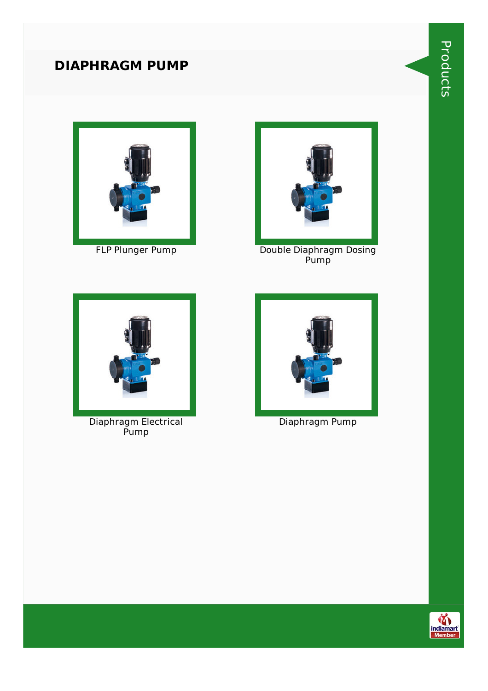#### **DIAPHRAGM PUMP**





FLP Plunger Pump Double Diaphragm Dosing Pump



Diaphragm Electrical Pump



Diaphragm Pump

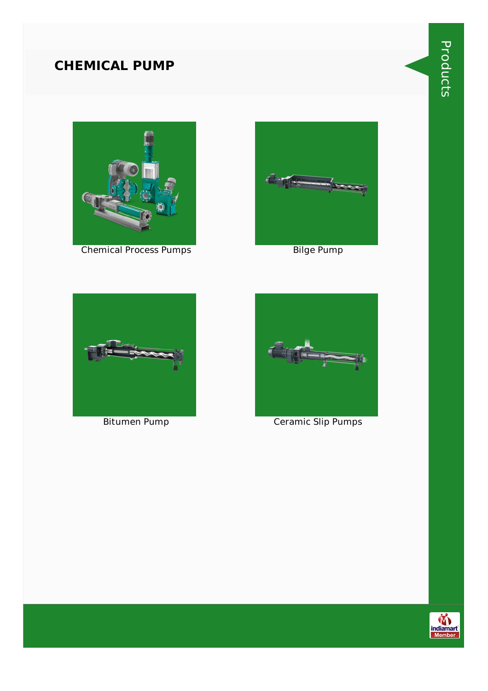#### **CHEMICAL PUMP**



Chemical Process Pumps Bilge Pump







Bitumen Pump Ceramic Slip Pumps

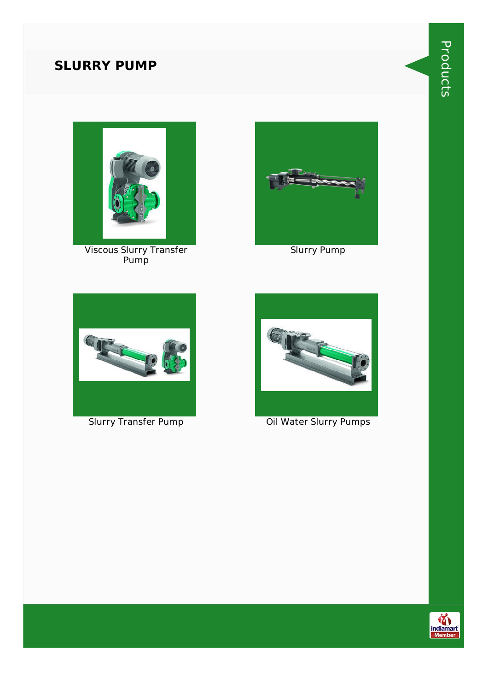### **SLURRY PUMP**



Viscous Slurry Transfer Pump



Slurry Pump





Slurry Transfer Pump Oil Water Slurry Pumps

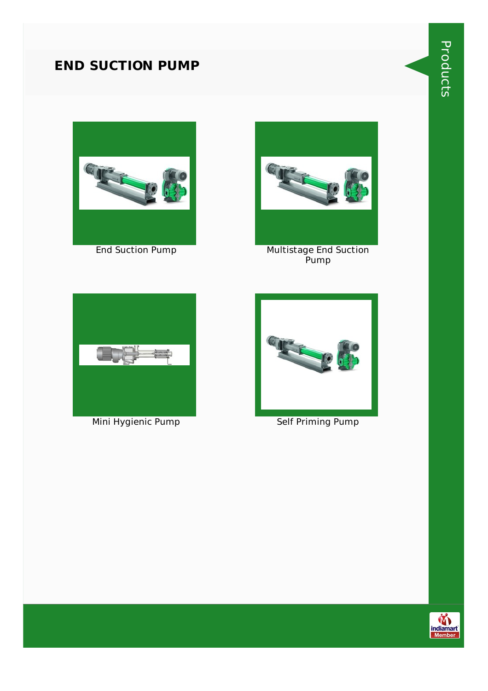#### **END SUCTION PUMP**





End Suction Pump Multistage End Suction Pump



Mini Hygienic Pump Self Priming Pump





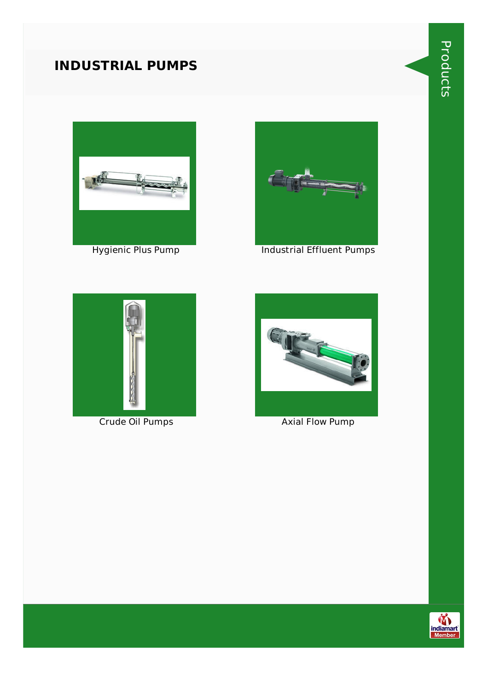#### **INDUSTRIAL PUMPS**





Hygienic Plus Pump **Industrial Effluent Pumps** 





**Crude Oil Pumps Axial Flow Pump** 

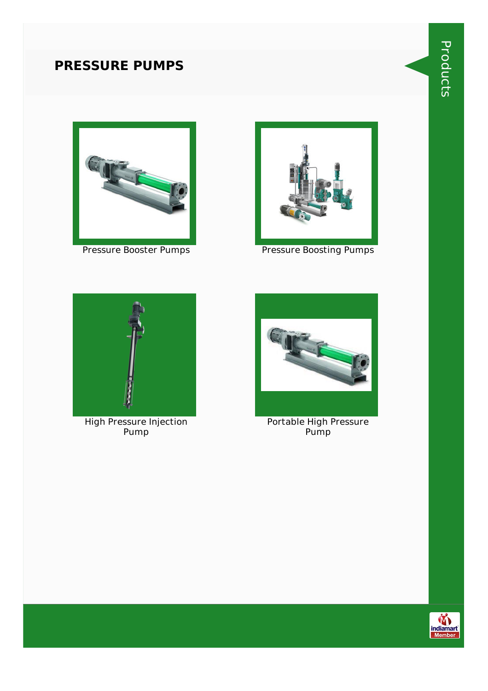#### **PRESSURE PUMPS**





Pressure Booster Pumps **Pressure Boosting Pumps** 



High Pressure Injection Pump



Portable High Pressure Pump

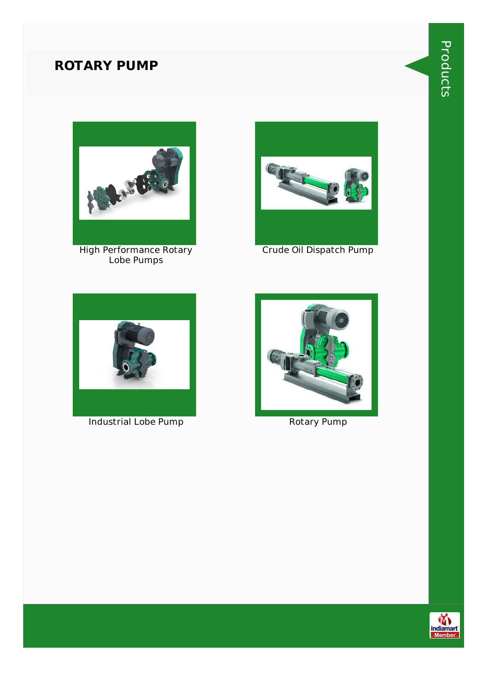#### **ROTARY PUMP**



High Performance Rotary Lobe Pumps



Crude Oil Dispatch Pump



Industrial Lobe Pump **Rotary Pump** Rotary Pump



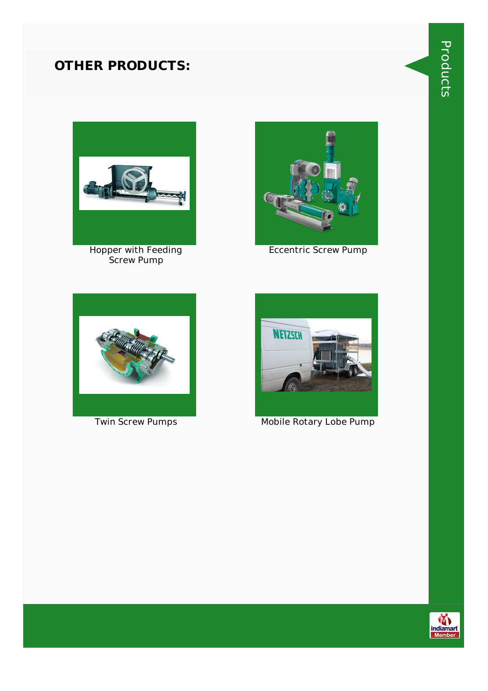#### **OTHER PRODUCTS:**



Hopper with Feeding Screw Pump



Eccentric Screw Pump





Twin Screw Pumps Mobile Rotary Lobe Pump



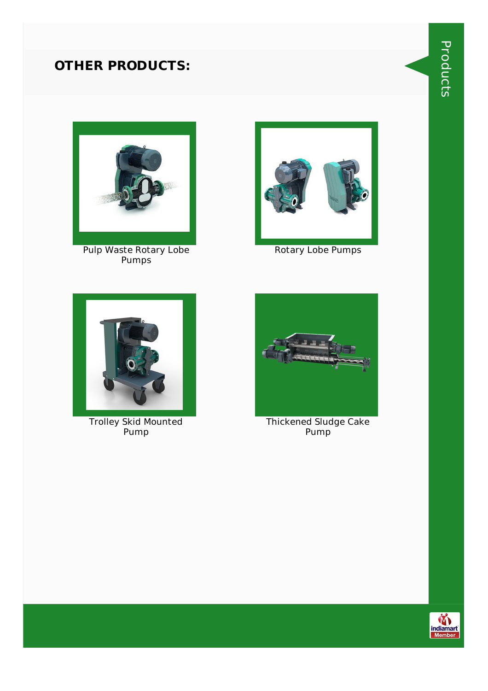#### **OTHER PRODUCTS:**



Pulp Waste Rotary Lobe Pumps



Rotary Lobe Pumps



Trolley Skid Mounted Pump



Thickened Sludge Cake Pump



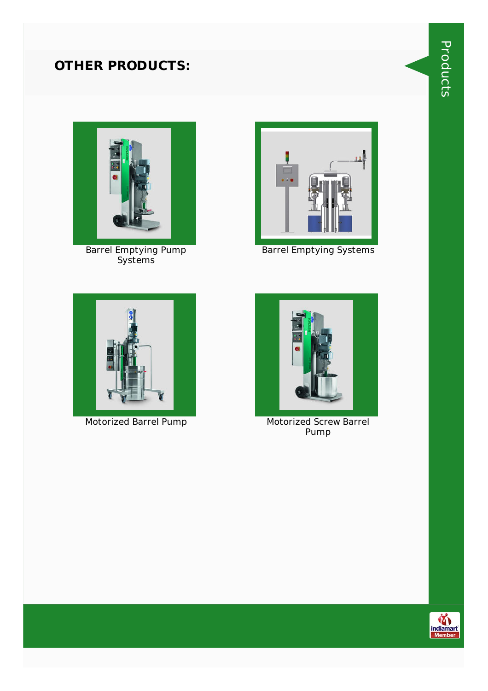# **OTHER PRODUCTS:**



Barrel Emptying Pump Systems



Barrel Emptying Systems





Motorized Barrel Pump Motorized Screw Barrel Pump

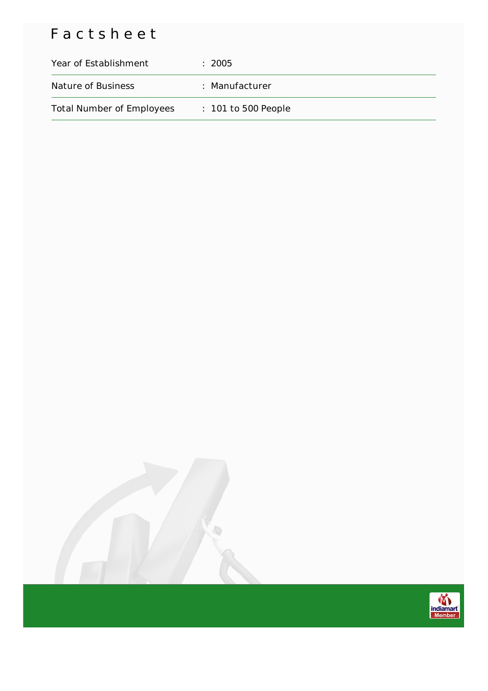# Factsheet

| Year of Establishment            | $\pm 2005$            |
|----------------------------------|-----------------------|
| Nature of Business               | : Manufacturer        |
| <b>Total Number of Employees</b> | $: 101$ to 500 People |